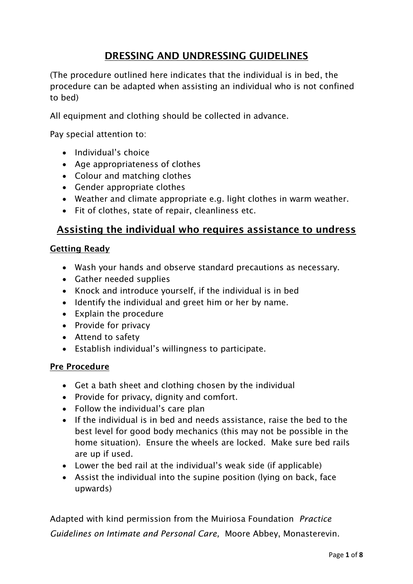## **DRESSING AND UNDRESSING GUIDELINES**

(The procedure outlined here indicates that the individual is in bed, the procedure can be adapted when assisting an individual who is not confined to bed)

All equipment and clothing should be collected in advance.

Pay special attention to:

- Individual's choice
- Age appropriateness of clothes
- Colour and matching clothes
- Gender appropriate clothes
- Weather and climate appropriate e.g. light clothes in warm weather.
- Fit of clothes, state of repair, cleanliness etc.

## **Assisting the individual who requires assistance to undress**

#### **Getting Ready**

- Wash your hands and observe standard precautions as necessary.
- Gather needed supplies
- Knock and introduce yourself, if the individual is in bed
- Identify the individual and greet him or her by name.
- Explain the procedure
- Provide for privacy
- Attend to safety
- Establish individual's willingness to participate.

#### **Pre Procedure**

- Get a bath sheet and clothing chosen by the individual
- Provide for privacy, dignity and comfort.
- Follow the individual's care plan
- If the individual is in bed and needs assistance, raise the bed to the best level for good body mechanics (this may not be possible in the home situation). Ensure the wheels are locked. Make sure bed rails are up if used.
- Lower the bed rail at the individual's weak side (if applicable)
- Assist the individual into the supine position (lying on back, face upwards)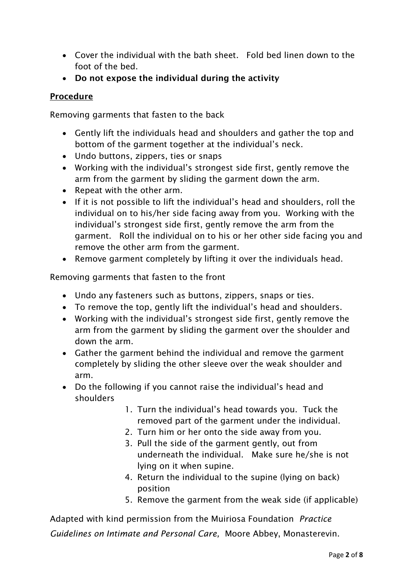- Cover the individual with the bath sheet. Fold bed linen down to the foot of the bed.
- **Do not expose the individual during the activity**

## **Procedure**

Removing garments that fasten to the back

- Gently lift the individuals head and shoulders and gather the top and bottom of the garment together at the individual's neck.
- Undo buttons, zippers, ties or snaps
- Working with the individual's strongest side first, gently remove the arm from the garment by sliding the garment down the arm.
- Repeat with the other arm.
- If it is not possible to lift the individual's head and shoulders, roll the individual on to his/her side facing away from you. Working with the individual's strongest side first, gently remove the arm from the garment. Roll the individual on to his or her other side facing you and remove the other arm from the garment.
- Remove garment completely by lifting it over the individuals head.

Removing garments that fasten to the front

- Undo any fasteners such as buttons, zippers, snaps or ties.
- To remove the top, gently lift the individual's head and shoulders.
- Working with the individual's strongest side first, gently remove the arm from the garment by sliding the garment over the shoulder and down the arm.
- Gather the garment behind the individual and remove the garment completely by sliding the other sleeve over the weak shoulder and arm.
- Do the following if you cannot raise the individual's head and shoulders
	- 1. Turn the individual's head towards you. Tuck the removed part of the garment under the individual.
	- 2. Turn him or her onto the side away from you.
	- 3. Pull the side of the garment gently, out from underneath the individual. Make sure he/she is not lying on it when supine.
	- 4. Return the individual to the supine (lying on back) position
	- 5. Remove the garment from the weak side (if applicable)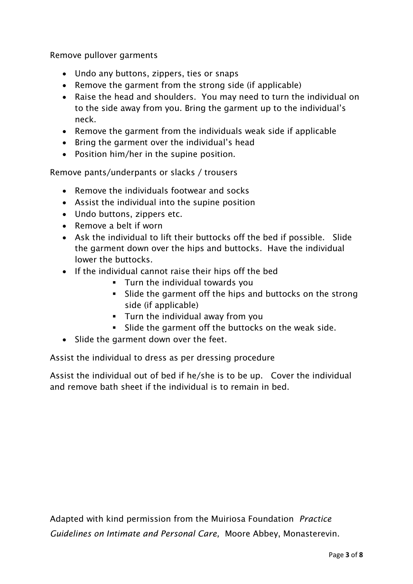Remove pullover garments

- Undo any buttons, zippers, ties or snaps
- Remove the garment from the strong side (if applicable)
- Raise the head and shoulders. You may need to turn the individual on to the side away from you. Bring the garment up to the individual's neck.
- Remove the garment from the individuals weak side if applicable
- Bring the garment over the individual's head
- Position him/her in the supine position.

Remove pants/underpants or slacks / trousers

- Remove the individuals footwear and socks
- Assist the individual into the supine position
- Undo buttons, zippers etc.
- Remove a belt if worn
- Ask the individual to lift their buttocks off the bed if possible. Slide the garment down over the hips and buttocks. Have the individual lower the buttocks.
- If the individual cannot raise their hips off the bed
	- **Turn the individual towards you**
	- Slide the garment off the hips and buttocks on the strong side (if applicable)
	- **Turn the individual away from you**
	- Slide the garment off the buttocks on the weak side.
- Slide the garment down over the feet.

Assist the individual to dress as per dressing procedure

Assist the individual out of bed if he/she is to be up. Cover the individual and remove bath sheet if the individual is to remain in bed.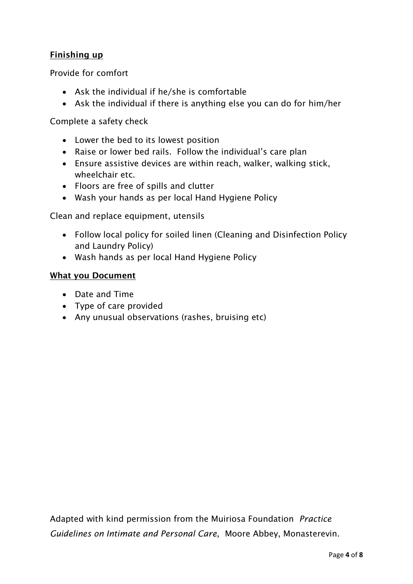## **Finishing up**

Provide for comfort

- Ask the individual if he/she is comfortable
- Ask the individual if there is anything else you can do for him/her

Complete a safety check

- Lower the bed to its lowest position
- Raise or lower bed rails. Follow the individual's care plan
- Ensure assistive devices are within reach, walker, walking stick, wheelchair etc.
- Floors are free of spills and clutter
- Wash your hands as per local Hand Hygiene Policy

Clean and replace equipment, utensils

- Follow local policy for soiled linen (Cleaning and Disinfection Policy and Laundry Policy)
- Wash hands as per local Hand Hygiene Policy

#### **What you Document**

- Date and Time
- Type of care provided
- Any unusual observations (rashes, bruising etc)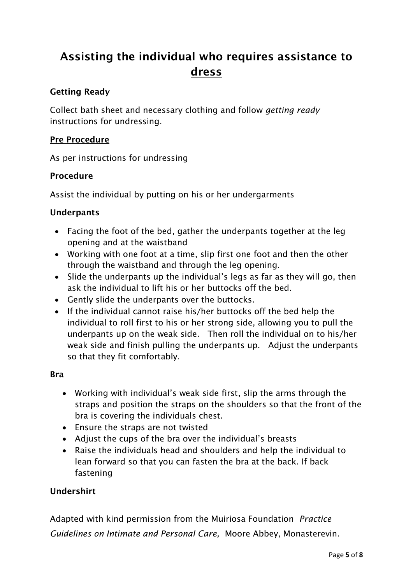# **Assisting the individual who requires assistance to dress**

## **Getting Ready**

Collect bath sheet and necessary clothing and follow *getting ready* instructions for undressing.

#### **Pre Procedure**

As per instructions for undressing

#### **Procedure**

Assist the individual by putting on his or her undergarments

#### **Underpants**

- Facing the foot of the bed, gather the underpants together at the leg opening and at the waistband
- Working with one foot at a time, slip first one foot and then the other through the waistband and through the leg opening.
- Slide the underpants up the individual's legs as far as they will go, then ask the individual to lift his or her buttocks off the bed.
- Gently slide the underpants over the buttocks.
- If the individual cannot raise his/her buttocks off the bed help the individual to roll first to his or her strong side, allowing you to pull the underpants up on the weak side. Then roll the individual on to his/her weak side and finish pulling the underpants up. Adjust the underpants so that they fit comfortably.

#### **Bra**

- Working with individual's weak side first, slip the arms through the straps and position the straps on the shoulders so that the front of the bra is covering the individuals chest.
- Ensure the straps are not twisted
- Adjust the cups of the bra over the individual's breasts
- Raise the individuals head and shoulders and help the individual to lean forward so that you can fasten the bra at the back. If back fastening

## **Undershirt**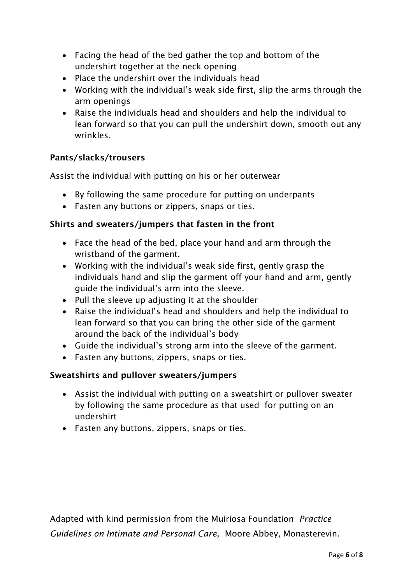- Facing the head of the bed gather the top and bottom of the undershirt together at the neck opening
- Place the undershirt over the individuals head
- Working with the individual's weak side first, slip the arms through the arm openings
- Raise the individuals head and shoulders and help the individual to lean forward so that you can pull the undershirt down, smooth out any wrinkles.

#### **Pants/slacks/trousers**

Assist the individual with putting on his or her outerwear

- By following the same procedure for putting on underpants
- Fasten any buttons or zippers, snaps or ties.

#### **Shirts and sweaters/jumpers that fasten in the front**

- Face the head of the bed, place your hand and arm through the wristband of the garment.
- Working with the individual's weak side first, gently grasp the individuals hand and slip the garment off your hand and arm, gently guide the individual's arm into the sleeve.
- Pull the sleeve up adjusting it at the shoulder
- Raise the individual's head and shoulders and help the individual to lean forward so that you can bring the other side of the garment around the back of the individual's body
- Guide the individual's strong arm into the sleeve of the garment.
- Fasten any buttons, zippers, snaps or ties.

#### **Sweatshirts and pullover sweaters/jumpers**

- Assist the individual with putting on a sweatshirt or pullover sweater by following the same procedure as that used for putting on an undershirt
- Fasten any buttons, zippers, snaps or ties.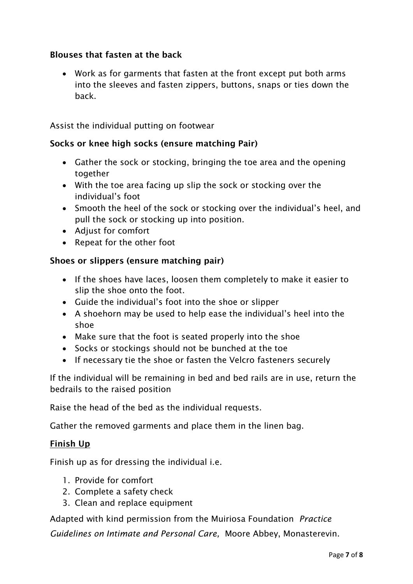## **Blouses that fasten at the back**

 Work as for garments that fasten at the front except put both arms into the sleeves and fasten zippers, buttons, snaps or ties down the back.

Assist the individual putting on footwear

#### **Socks or knee high socks (ensure matching Pair)**

- Gather the sock or stocking, bringing the toe area and the opening together
- With the toe area facing up slip the sock or stocking over the individual's foot
- Smooth the heel of the sock or stocking over the individual's heel, and pull the sock or stocking up into position.
- Adjust for comfort
- Repeat for the other foot

#### **Shoes or slippers (ensure matching pair)**

- If the shoes have laces, loosen them completely to make it easier to slip the shoe onto the foot.
- Guide the individual's foot into the shoe or slipper
- A shoehorn may be used to help ease the individual's heel into the shoe
- Make sure that the foot is seated properly into the shoe
- Socks or stockings should not be bunched at the toe
- If necessary tie the shoe or fasten the Velcro fasteners securely

If the individual will be remaining in bed and bed rails are in use, return the bedrails to the raised position

Raise the head of the bed as the individual requests.

Gather the removed garments and place them in the linen bag.

#### **Finish Up**

Finish up as for dressing the individual i.e.

- 1. Provide for comfort
- 2. Complete a safety check
- 3. Clean and replace equipment